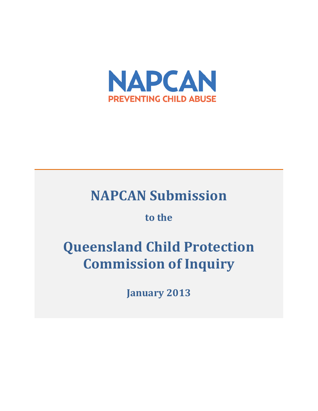

# **NAPCAN Submission**

## to the

# **Queensland Child Protection Commission of Inquiry**

**January 2013**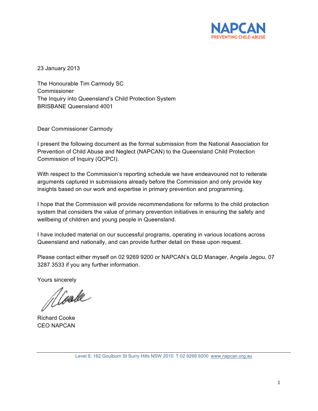

23 January 2013

The Honourable Tim Carmody SC **Commissioner** The Inquiry into Queensland's Child Protection System BRISBANE Queensland 4001

Dear Commissioner Carmody

I present the following document as the formal submission from the National Association for Prevention of Child Abuse and Neglect (NAPCAN) to the Queensland Child Protection Commission of Inquiry (QCPCI).

With respect to the Commission's reporting schedule we have endeavoured not to reiterate arguments captured in submissions already before the Commission and only provide key insights based on our work and expertise in primary prevention and programming.

I hope that the Commission will provide recommendations for reforms to the child protection system that considers the value of primary prevention initiatives in ensuring the safety and wellbeing of children and young people in Queensland.

I have included material on our successful programs, operating in various locations across Queensland and nationally, and can provide further detail on these upon request.

Please contact either myself on 02 9269 9200 or NAPCAN's QLD Manager, Angela Jegou, 07 3287 3533 if you any further information.

Yours sincerely

Richard Cooke CEO NAPCAN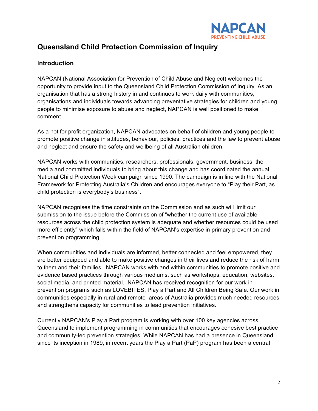

### **Queensland Child Protection Commission of Inquiry**

#### I**ntroduction**

NAPCAN (National Association for Prevention of Child Abuse and Neglect) welcomes the opportunity to provide input to the Queensland Child Protection Commission of Inquiry. As an organisation that has a strong history in and continues to work daily with communities, organisations and individuals towards advancing preventative strategies for children and young people to minimise exposure to abuse and neglect, NAPCAN is well positioned to make comment.

As a not for profit organization, NAPCAN advocates on behalf of children and young people to promote positive change in attitudes, behaviour, policies, practices and the law to prevent abuse and neglect and ensure the safety and wellbeing of all Australian children.

NAPCAN works with communities, researchers, professionals, government, business, the media and committed individuals to bring about this change and has coordinated the annual National Child Protection Week campaign since 1990. The campaign is in line with the National Framework for Protecting Australia's Children and encourages everyone to "Play their Part, as child protection is everybody's business".

NAPCAN recognises the time constraints on the Commission and as such will limit our submission to the issue before the Commission of "whether the current use of available resources across the child protection system is adequate and whether resources could be used more efficiently" which falls within the field of NAPCAN's expertise in primary prevention and prevention programming.

When communities and individuals are informed, better connected and feel empowered, they are better equipped and able to make positive changes in their lives and reduce the risk of harm to them and their families. NAPCAN works with and within communities to promote positive and evidence based practices through various mediums, such as workshops, education, websites, social media, and printed material. NAPCAN has received recognition for our work in prevention programs such as LOVEBITES, Play a Part and All Children Being Safe. Our work in communities especially in rural and remote areas of Australia provides much needed resources and strengthens capacity for communities to lead prevention initiatives.

Currently NAPCAN's Play a Part program is working with over 100 key agencies across Queensland to implement programming in communities that encourages cohesive best practice and community-led prevention strategies. While NAPCAN has had a presence in Queensland since its inception in 1989, in recent years the Play a Part (PaP) program has been a central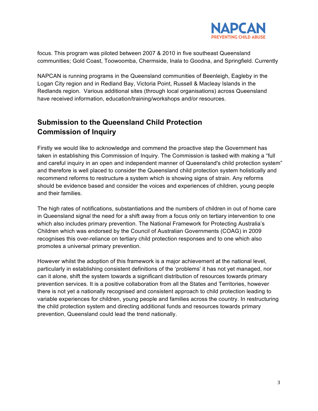

focus. This program was piloted between 2007 & 2010 in five southeast Queensland communities; Gold Coast, Toowoomba, Chermside, Inala to Goodna, and Springfield. Currently

NAPCAN is running programs in the Queensland communities of Beenleigh, Eagleby in the Logan City region and in Redland Bay, Victoria Point, Russell & Macleay Islands in the Redlands region. Various additional sites (through local organisations) across Queensland have received information, education/training/workshops and/or resources.

### **Submission to the Queensland Child Protection Commission of Inquiry**

Firstly we would like to acknowledge and commend the proactive step the Government has taken in establishing this Commission of Inquiry. The Commission is tasked with making a "full and careful inquiry in an open and independent manner of Queensland's child protection system" and therefore is well placed to consider the Queensland child protection system holistically and recommend reforms to restructure a system which is showing signs of strain. Any reforms should be evidence based and consider the voices and experiences of children, young people and their families.

The high rates of notifications, substantiations and the numbers of children in out of home care in Queensland signal the need for a shift away from a focus only on tertiary intervention to one which also includes primary prevention. The National Framework for Protecting Australia's Children which was endorsed by the Council of Australian Governments (COAG) in 2009 recognises this over-reliance on tertiary child protection responses and to one which also promotes a universal primary prevention.

However whilst the adoption of this framework is a major achievement at the national level, particularly in establishing consistent definitions of the 'problems' it has not yet managed, nor can it alone, shift the system towards a significant distribution of resources towards primary prevention services. It is a positive collaboration from all the States and Territories, however there is not yet a nationally recognised and consistent approach to child protection leading to variable experiences for children, young people and families across the country. In restructuring the child protection system and directing additional funds and resources towards primary prevention, Queensland could lead the trend nationally.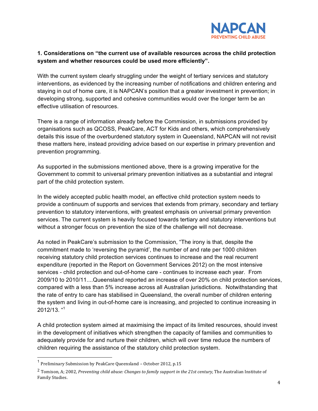

#### **1. Considerations on "the current use of available resources across the child protection system and whether resources could be used more efficiently".**

With the current system clearly struggling under the weight of tertiary services and statutory interventions, as evidenced by the increasing number of notifications and children entering and staying in out of home care, it is NAPCAN's position that a greater investment in prevention; in developing strong, supported and cohesive communities would over the longer term be an effective utilisation of resources.

There is a range of information already before the Commission, in submissions provided by organisations such as QCOSS, PeakCare, ACT for Kids and others, which comprehensively details this issue of the overburdened statutory system in Queensland, NAPCAN will not revisit these matters here, instead providing advice based on our expertise in primary prevention and prevention programming.

As supported in the submissions mentioned above, there is a growing imperative for the Government to commit to universal primary prevention initiatives as a substantial and integral part of the child protection system.

In the widely accepted public health model, an effective child protection system needs to provide a continuum of supports and services that extends from primary, secondary and tertiary prevention to statutory interventions, with greatest emphasis on universal primary prevention services. The current system is heavily focused towards tertiary and statutory interventions but without a stronger focus on prevention the size of the challenge will not decrease.

As noted in PeakCare's submission to the Commission, "The irony is that, despite the commitment made to 'reversing the pyramid', the number of and rate per 1000 children receiving statutory child protection services continues to increase and the real recurrent expenditure (reported in the Report on Government Services 2012) on the most intensive services - child protection and out-of-home care - continues to increase each year. From 2009/10 to 2010/11....Queensland reported an increase of over 20% on child protection services, compared with a less than 5% increase across all Australian jurisdictions. Notwithstanding that the rate of entry to care has stabilised in Queensland, the overall number of children entering the system and living in out-of-home care is increasing, and projected to continue increasing in 2012/13. "1

A child protection system aimed at maximising the impact of its limited resources, should invest in the development of initiatives which strengthen the capacity of families and communities to adequately provide for and nurture their children, which will over time reduce the numbers of children requiring the assistance of the statutory child protection system.

<sup>&</sup>lt;sup>1</sup> Preliminary Submission by PeakCare Queensland - October 2012, p.15

<sup>&</sup>lt;sup>2</sup> Tomison. A: 2002, *Preventing child abuse: Changes to family support in the 21st century,* The Australian Institute of Family Studies.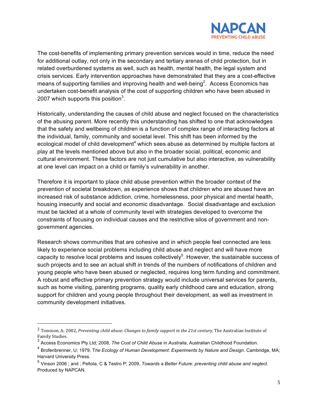

The cost-benefits of implementing primary prevention services would in time, reduce the need for additional outlay, not only in the secondary and tertiary arenas of child protection, but in related overburdened systems as well, such as health, mental health, the legal system and crisis services. Early intervention approaches have demonstrated that they are a cost-effective means of supporting families and improving health and well-being<sup>2</sup>. Access Economics has undertaken cost-benefit analysis of the cost of supporting children who have been abused in 2007 which supports this position $3$ .

Historically, understanding the causes of child abuse and neglect focused on the characteristics of the abusing parent. More recently this understanding has shifted to one that acknowledges that the safety and wellbeing of children is a function of complex range of interacting factors at the individual, family, community and societal level. This shift has been informed by the ecological model of child development<sup>4</sup> which sees abuse as determined by multiple factors at play at the levels mentioned above but also in the broader social, political, economic and cultural environment. These factors are not just cumulative but also interactive, as vulnerability at one level can impact on a child or family's vulnerability in another.

Therefore it is important to place child abuse prevention within the broader context of the prevention of societal breakdown, as experience shows that children who are abused have an increased risk of substance addiction, crime, homelessness, poor physical and mental health, housing insecurity and social and economic disadvantage. Social disadvantage and exclusion must be tackled at a whole of community level with strategies developed to overcome the constraints of focusing on individual causes and the restrictive silos of government and nongovernment agencies.

Research shows communities that are cohesive and in which people feel connected are less likely to experience social problems including child abuse and neglect and will have more capacity to resolve local problems and issues collectively<sup>5</sup>. However, the sustainable success of such projects and to see an actual shift in trends of the numbers of notifications of children and young people who have been abused or neglected, requires long term funding and commitment. A robust and effective primary prevention strategy would include universal services for parents, such as home visiting, parenting programs, quality early childhood care and education, strong support for children and young people throughout their development, as well as investment in community development initiatives.

!!!!!!!!!!!!!!!!!!!!!!!!!!!!!!!!!!!!!!!!!!!!!!!!!!!!!!!

 $^2$  Tomison, A; 2002, Preventing child abuse: Changes to family support in the 21st century, The Australian Institute of Family Studies.

<sup>3</sup> Access Economics Pty Ltd; 2008, *The Cost of Child Abuse in Australia*, Australian Childhood Foundation.

<sup>4</sup> Brofenbrenner, U; 1979, T*he Ecology of Human Development: Experiments by Nature and Design*. Cambridge, MA; Harvard University Press.

<sup>5</sup> Vinson 2006 ; and ; Peltola, C & Testro P; 2009, *Towards a Better Future: preventing child abuse and neglect*. Produced by NAPCAN.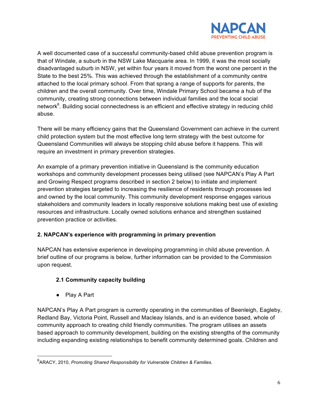

A well documented case of a successful community-based child abuse prevention program is that of Windale, a suburb in the NSW Lake Macquarie area. In 1999, it was the most socially disadvantaged suburb in NSW, yet within four years it moved from the worst one percent in the State to the best 25%. This was achieved through the establishment of a community centre attached to the local primary school. From that sprang a range of supports for parents, the children and the overall community. Over time, Windale Primary School became a hub of the community, creating strong connections between individual families and the local social network<sup>6</sup>. Building social connectedness is an efficient and effective strategy in reducing child abuse.

There will be many efficiency gains that the Queensland Government can achieve in the current child protection system but the most effective long term strategy with the best outcome for Queensland Communities will always be stopping child abuse before it happens. This will require an investment in primary prevention strategies.

An example of a primary prevention initiative in Queensland is the community education workshops and community development processes being utilised (see NAPCAN's Play A Part and Growing Respect programs described in section 2 below) to initiate and implement prevention strategies targeted to increasing the resilience of residents through processes led and owned by the local community. This community development response engages various stakeholders and community leaders in locally responsive solutions making best use of existing resources and infrastructure. Locally owned solutions enhance and strengthen sustained prevention practice or activities.

#### **2. NAPCAN's experience with programming in primary prevention**

NAPCAN has extensive experience in developing programming in child abuse prevention. A brief outline of our programs is below, further information can be provided to the Commission upon request.

#### **2.1 Community capacity building**

• Play A Part

!!!!!!!!!!!!!!!!!!!!!!!!!!!!!!!!!!!!!!!!!!!!!!!!!!!!!!!

NAPCAN's Play A Part program is currently operating in the communities of Beenleigh, Eagleby, Redland Bay, Victoria Point, Russell and Macleay Islands, and is an evidence based, whole of community approach to creating child friendly communities. The program utilises an assets based approach to community development, building on the existing strengths of the community including expanding existing relationships to benefit community determined goals. Children and

<sup>6</sup> ARACY, 2010, *Promoting Shared Responsibility for Vulnerable Children & Families.*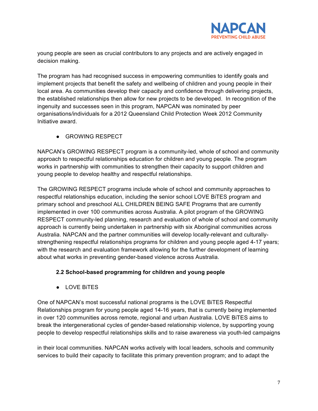

young people are seen as crucial contributors to any projects and are actively engaged in decision making.

The program has had recognised success in empowering communities to identify goals and implement projects that benefit the safety and wellbeing of children and young people in their local area. As communities develop their capacity and confidence through delivering projects, the established relationships then allow for new projects to be developed. In recognition of the ingenuity and successes seen in this program, NAPCAN was nominated by peer organisations/individuals for a 2012 Queensland Child Protection Week 2012 Community Initiative award.

• GROWING RESPECT

NAPCAN's GROWING RESPECT program is a community-led, whole of school and community approach to respectful relationships education for children and young people. The program works in partnership with communities to strengthen their capacity to support children and young people to develop healthy and respectful relationships.

The GROWING RESPECT programs include whole of school and community approaches to respectful relationships education, including the senior school LOVE BiTES program and primary school and preschool ALL CHILDREN BEING SAFE Programs that are currently implemented in over 100 communities across Australia. A pilot program of the GROWING RESPECT community-led planning, research and evaluation of whole of school and community approach is currently being undertaken in partnership with six Aboriginal communities across Australia. NAPCAN and the partner communities will develop locally-relevant and culturallystrengthening respectful relationships programs for children and young people aged 4-17 years; with the research and evaluation framework allowing for the further development of learning about what works in preventing gender-based violence across Australia.

#### **2.2 School-based programming for children and young people**

• LOVE BITES

One of NAPCAN's most successful national programs is the LOVE BiTES Respectful Relationships program for young people aged 14-16 years, that is currently being implemented in over 120 communities across remote, regional and urban Australia. LOVE BiTES aims to break the intergenerational cycles of gender-based relationship violence, by supporting young people to develop respectful relationships skills and to raise awareness via youth-led campaigns

in their local communities. NAPCAN works actively with local leaders, schools and community services to build their capacity to facilitate this primary prevention program; and to adapt the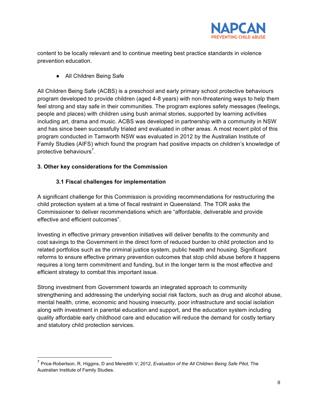

content to be locally relevant and to continue meeting best practice standards in violence prevention education.

• All Children Being Safe

All Children Being Safe (ACBS) is a preschool and early primary school protective behaviours program developed to provide children (aged 4-8 years) with non-threatening ways to help them feel strong and stay safe in their communities. The program explores safety messages (feelings, people and places) with children using bush animal stories, supported by learning activities including art, drama and music. ACBS was developed in partnership with a community in NSW and has since been successfully trialed and evaluated in other areas. A most recent pilot of this program conducted in Tamworth NSW was evaluated in 2012 by the Australian Institute of Family Studies (AIFS) which found the program had positive impacts on children's knowledge of protective behaviours<sup>7</sup>.

#### **3. Other key considerations for the Commission**

!!!!!!!!!!!!!!!!!!!!!!!!!!!!!!!!!!!!!!!!!!!!!!!!!!!!!!!

#### **3.1 Fiscal challenges for implementation**

A significant challenge for this Commission is providing recommendations for restructuring the child protection system at a time of fiscal restraint in Queensland. The TOR asks the Commissioner to deliver recommendations which are "affordable, deliverable and provide effective and efficient outcomes".

Investing in effective primary prevention initiatives will deliver benefits to the community and cost savings to the Government in the direct form of reduced burden to child protection and to related portfolios such as the criminal justice system, public health and housing. Significant reforms to ensure effective primary prevention outcomes that stop child abuse before it happens requires a long term commitment and funding, but in the longer term is the most effective and efficient strategy to combat this important issue.

Strong investment from Government towards an integrated approach to community strengthening and addressing the underlying social risk factors, such as drug and alcohol abuse, mental health, crime, economic and housing insecurity, poor infrastructure and social isolation along with investment in parental education and support, and the education system including quality affordable early childhood care and education will reduce the demand for costly tertiary and statutory child protection services.

<sup>7</sup> Price-Robertson, R, Higgins, D and Meredith V; 2012, *Evaluation of the All Children Being Safe Pilot,* The Australian Institute of Family Studies.